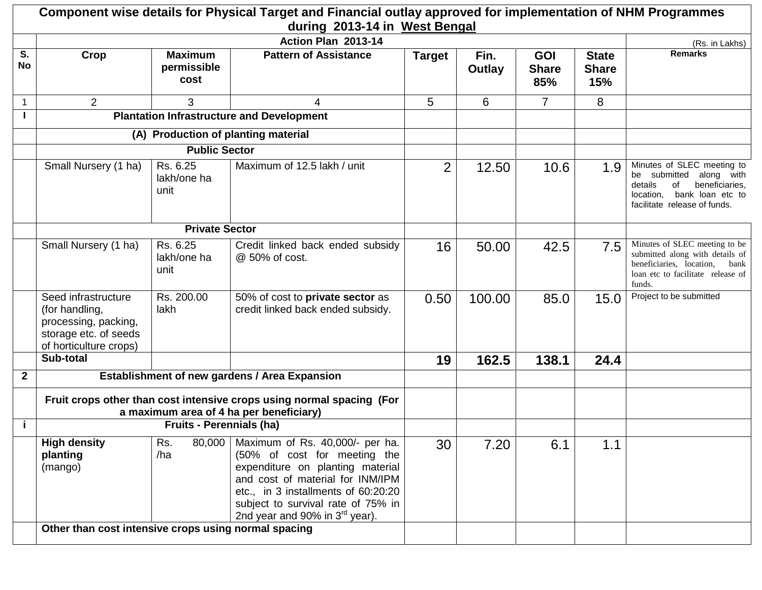|                 |                                                                                                                  |                                       | Component wise details for Physical Target and Financial outlay approved for implementation of NHM Programmes<br>during 2013-14 in West Bengal                                                                                                              |                |                |                                   |                                     |                                                                                                                                                           |
|-----------------|------------------------------------------------------------------------------------------------------------------|---------------------------------------|-------------------------------------------------------------------------------------------------------------------------------------------------------------------------------------------------------------------------------------------------------------|----------------|----------------|-----------------------------------|-------------------------------------|-----------------------------------------------------------------------------------------------------------------------------------------------------------|
|                 |                                                                                                                  |                                       | Action Plan 2013-14                                                                                                                                                                                                                                         |                |                |                                   |                                     | (Rs. in Lakhs)                                                                                                                                            |
| S.<br><b>No</b> | Crop                                                                                                             | <b>Maximum</b><br>permissible<br>cost | <b>Pattern of Assistance</b>                                                                                                                                                                                                                                | <b>Target</b>  | Fin.<br>Outlay | <b>GOI</b><br><b>Share</b><br>85% | <b>State</b><br><b>Share</b><br>15% | <b>Remarks</b>                                                                                                                                            |
| $\mathbf{1}$    | $\overline{2}$                                                                                                   | 3                                     | 4                                                                                                                                                                                                                                                           | 5              | 6              | $\overline{7}$                    | 8                                   |                                                                                                                                                           |
|                 |                                                                                                                  |                                       | <b>Plantation Infrastructure and Development</b>                                                                                                                                                                                                            |                |                |                                   |                                     |                                                                                                                                                           |
|                 |                                                                                                                  |                                       | (A) Production of planting material                                                                                                                                                                                                                         |                |                |                                   |                                     |                                                                                                                                                           |
|                 |                                                                                                                  | <b>Public Sector</b>                  |                                                                                                                                                                                                                                                             |                |                |                                   |                                     |                                                                                                                                                           |
|                 | Small Nursery (1 ha)                                                                                             | Rs. 6.25<br>lakh/one ha<br>unit       | Maximum of 12.5 lakh / unit                                                                                                                                                                                                                                 | $\overline{2}$ | 12.50          | 10.6                              | 1.9                                 | Minutes of SLEC meeting to<br>be submitted along with<br>details<br>οf<br>beneficiaries,<br>bank loan etc to<br>location.<br>facilitate release of funds. |
|                 |                                                                                                                  | <b>Private Sector</b>                 |                                                                                                                                                                                                                                                             |                |                |                                   |                                     |                                                                                                                                                           |
|                 | Small Nursery (1 ha)                                                                                             | Rs. 6.25<br>lakh/one ha<br>unit       | Credit linked back ended subsidy<br>@ 50% of cost.                                                                                                                                                                                                          | 16             | 50.00          | 42.5                              | 7.5                                 | Minutes of SLEC meeting to be<br>submitted along with details of<br>beneficiaries, location,<br>bank<br>loan etc to facilitate release of<br>funds.       |
|                 | Seed infrastructure<br>(for handling,<br>processing, packing,<br>storage etc. of seeds<br>of horticulture crops) | Rs. 200.00<br>lakh                    | 50% of cost to private sector as<br>credit linked back ended subsidy.                                                                                                                                                                                       | 0.50           | 100.00         | 85.0                              | 15.0                                | Project to be submitted                                                                                                                                   |
|                 | Sub-total                                                                                                        |                                       |                                                                                                                                                                                                                                                             | 19             | 162.5          | 138.1                             | 24.4                                |                                                                                                                                                           |
| $\mathbf{2}$    |                                                                                                                  |                                       | <b>Establishment of new gardens / Area Expansion</b>                                                                                                                                                                                                        |                |                |                                   |                                     |                                                                                                                                                           |
|                 | Fruit crops other than cost intensive crops using normal spacing (For<br>a maximum area of 4 ha per beneficiary) |                                       |                                                                                                                                                                                                                                                             |                |                |                                   |                                     |                                                                                                                                                           |
| j.              |                                                                                                                  | <b>Fruits - Perennials (ha)</b>       |                                                                                                                                                                                                                                                             |                |                |                                   |                                     |                                                                                                                                                           |
|                 | <b>High density</b><br>planting<br>(mango)                                                                       | Rs.<br>80,000<br>/ha                  | Maximum of Rs. 40,000/- per ha.<br>(50% of cost for meeting the<br>expenditure on planting material<br>and cost of material for INM/IPM<br>etc., in 3 installments of 60:20:20<br>subject to survival rate of 75% in<br>2nd year and 90% in $3^{rd}$ year). | 30             | 7.20           | 6.1                               | 1.1                                 |                                                                                                                                                           |
|                 | Other than cost intensive crops using normal spacing                                                             |                                       |                                                                                                                                                                                                                                                             |                |                |                                   |                                     |                                                                                                                                                           |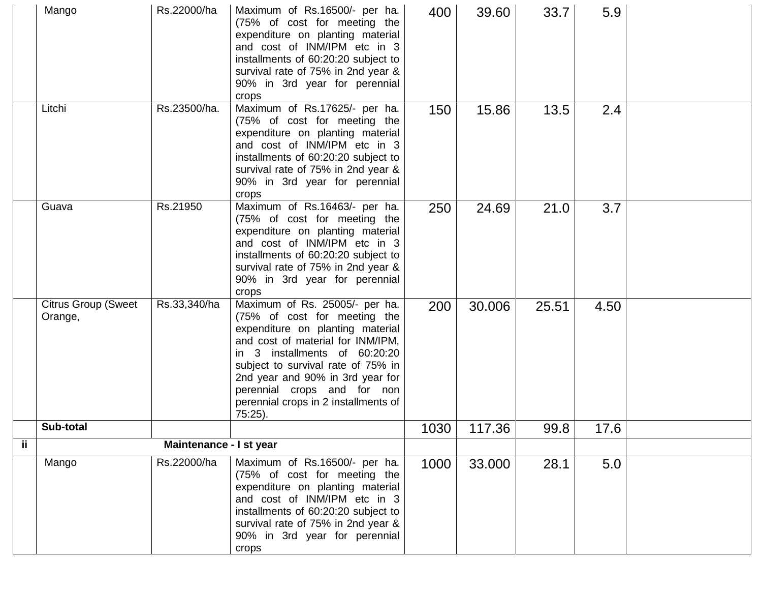|     | Mango                                 | Rs.22000/ha             | Maximum of Rs.16500/- per ha.<br>(75% of cost for meeting the<br>expenditure on planting material<br>and cost of INM/IPM etc in 3<br>installments of 60:20:20 subject to<br>survival rate of 75% in 2nd year &<br>90% in 3rd year for perennial<br>crops                                                                             | 400  | 39.60  | 33.7  | 5.9  |  |
|-----|---------------------------------------|-------------------------|--------------------------------------------------------------------------------------------------------------------------------------------------------------------------------------------------------------------------------------------------------------------------------------------------------------------------------------|------|--------|-------|------|--|
|     | Litchi                                | Rs.23500/ha.            | Maximum of Rs.17625/- per ha.<br>(75% of cost for meeting the<br>expenditure on planting material<br>and cost of INM/IPM etc in 3<br>installments of 60:20:20 subject to<br>survival rate of 75% in 2nd year &<br>90% in 3rd year for perennial<br>crops                                                                             | 150  | 15.86  | 13.5  | 2.4  |  |
|     | Guava                                 | Rs.21950                | Maximum of Rs.16463/- per ha.<br>(75% of cost for meeting the<br>expenditure on planting material<br>and cost of INM/IPM etc in 3<br>installments of 60:20:20 subject to<br>survival rate of 75% in 2nd year &<br>90% in 3rd year for perennial<br>crops                                                                             | 250  | 24.69  | 21.0  | 3.7  |  |
|     | <b>Citrus Group (Sweet</b><br>Orange, | Rs.33,340/ha            | Maximum of Rs. 25005/- per ha.<br>(75% of cost for meeting the<br>expenditure on planting material<br>and cost of material for INM/IPM,<br>in 3 installments of 60:20:20<br>subject to survival rate of 75% in<br>2nd year and 90% in 3rd year for<br>perennial crops and for non<br>perennial crops in 2 installments of<br>75:25). | 200  | 30.006 | 25.51 | 4.50 |  |
|     | Sub-total                             |                         |                                                                                                                                                                                                                                                                                                                                      | 1030 | 117.36 | 99.8  | 17.6 |  |
| ij. |                                       | Maintenance - I st year |                                                                                                                                                                                                                                                                                                                                      |      |        |       |      |  |
|     | Mango                                 | Rs.22000/ha             | Maximum of Rs.16500/- per ha.<br>(75% of cost for meeting the<br>expenditure on planting material<br>and cost of INM/IPM etc in 3<br>installments of 60:20:20 subject to<br>survival rate of 75% in 2nd year &<br>90% in 3rd year for perennial<br>crops                                                                             | 1000 | 33.000 | 28.1  | 5.0  |  |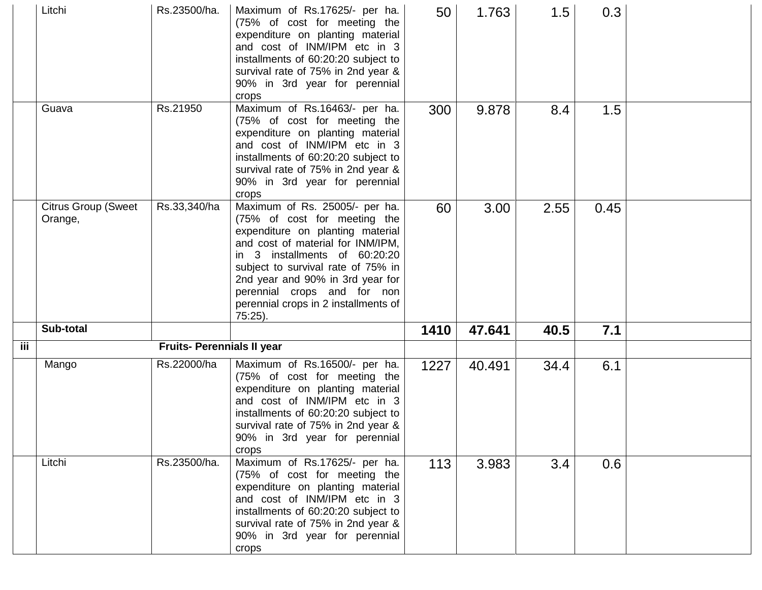|     | Litchi                                | Rs.23500/ha.               | Maximum of Rs.17625/- per ha.<br>(75% of cost for meeting the<br>expenditure on planting material<br>and cost of INM/IPM etc in 3<br>installments of 60:20:20 subject to<br>survival rate of 75% in 2nd year &<br>90% in 3rd year for perennial<br>crops                                                                             | 50   | 1.763  | 1.5  | 0.3  |  |
|-----|---------------------------------------|----------------------------|--------------------------------------------------------------------------------------------------------------------------------------------------------------------------------------------------------------------------------------------------------------------------------------------------------------------------------------|------|--------|------|------|--|
|     | Guava                                 | Rs.21950                   | Maximum of Rs.16463/- per ha.<br>(75% of cost for meeting the<br>expenditure on planting material<br>and cost of INM/IPM etc in 3<br>installments of 60:20:20 subject to<br>survival rate of 75% in 2nd year &<br>90% in 3rd year for perennial<br>crops                                                                             | 300  | 9.878  | 8.4  | 1.5  |  |
|     | <b>Citrus Group (Sweet</b><br>Orange, | Rs.33,340/ha               | Maximum of Rs. 25005/- per ha.<br>(75% of cost for meeting the<br>expenditure on planting material<br>and cost of material for INM/IPM,<br>in 3 installments of 60:20:20<br>subject to survival rate of 75% in<br>2nd year and 90% in 3rd year for<br>perennial crops and for non<br>perennial crops in 2 installments of<br>75:25). | 60   | 3.00   | 2.55 | 0.45 |  |
|     | Sub-total                             |                            |                                                                                                                                                                                                                                                                                                                                      | 1410 | 47.641 | 40.5 | 7.1  |  |
| iii |                                       | Fruits- Perennials II year |                                                                                                                                                                                                                                                                                                                                      |      |        |      |      |  |
|     | Mango                                 | Rs.22000/ha                | Maximum of Rs.16500/- per ha.<br>(75% of cost for meeting the<br>expenditure on planting material<br>and cost of INM/IPM etc in 3<br>installments of 60:20:20 subject to<br>survival rate of 75% in 2nd year &<br>90% in 3rd year for perennial<br>crops                                                                             | 1227 | 40.491 | 34.4 | 6.1  |  |
|     | Litchi                                | Rs.23500/ha.               | Maximum of Rs.17625/- per ha.<br>(75% of cost for meeting the<br>expenditure on planting material<br>and cost of INM/IPM etc in 3<br>installments of 60:20:20 subject to<br>survival rate of 75% in 2nd year &<br>90% in 3rd year for perennial<br>crops                                                                             | 113  | 3.983  | 3.4  | 0.6  |  |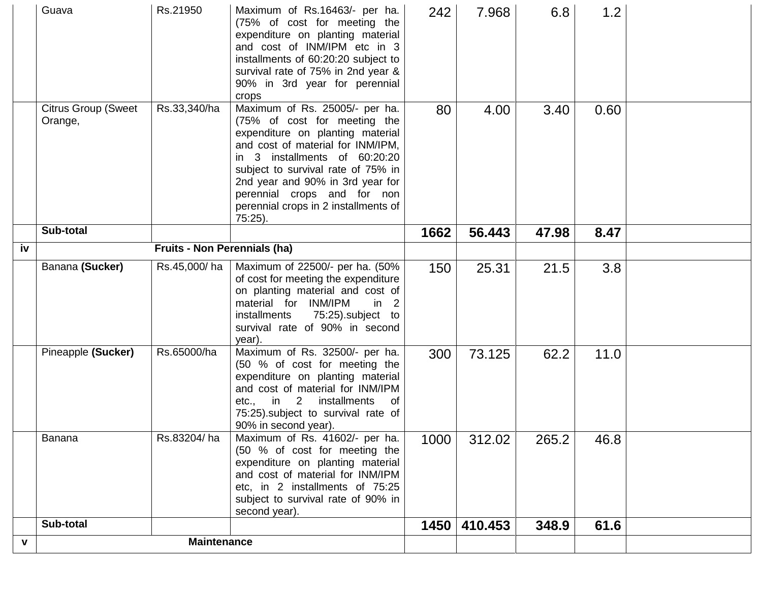|    | Guava                                 | Rs.21950                            | Maximum of Rs.16463/- per ha.<br>(75% of cost for meeting the<br>expenditure on planting material<br>and cost of INM/IPM etc in 3<br>installments of 60:20:20 subject to<br>survival rate of 75% in 2nd year &<br>90% in 3rd year for perennial<br>crops                                                                                | 242  | 7.968        | 6.8   | 1.2  |  |
|----|---------------------------------------|-------------------------------------|-----------------------------------------------------------------------------------------------------------------------------------------------------------------------------------------------------------------------------------------------------------------------------------------------------------------------------------------|------|--------------|-------|------|--|
|    | <b>Citrus Group (Sweet</b><br>Orange, | Rs.33,340/ha                        | Maximum of Rs. 25005/- per ha.<br>(75% of cost for meeting the<br>expenditure on planting material<br>and cost of material for INM/IPM,<br>in 3 installments of 60:20:20<br>subject to survival rate of 75% in<br>2nd year and 90% in 3rd year for<br>perennial crops and for non<br>perennial crops in 2 installments of<br>$75:25$ ). | 80   | 4.00         | 3.40  | 0.60 |  |
|    | Sub-total                             |                                     |                                                                                                                                                                                                                                                                                                                                         | 1662 | 56.443       | 47.98 | 8.47 |  |
| iv |                                       | <b>Fruits - Non Perennials (ha)</b> |                                                                                                                                                                                                                                                                                                                                         |      |              |       |      |  |
|    | Banana (Sucker)                       | Rs.45,000/ha                        | Maximum of 22500/- per ha. (50%<br>of cost for meeting the expenditure<br>on planting material and cost of<br>material for INM/IPM<br>in $2$<br>75:25).subject to<br>installments<br>survival rate of 90% in second<br>year).                                                                                                           | 150  | 25.31        | 21.5  | 3.8  |  |
|    | Pineapple (Sucker)                    | Rs.65000/ha                         | Maximum of Rs. 32500/- per ha.<br>(50 % of cost for meeting the<br>expenditure on planting material<br>and cost of material for INM/IPM<br>installments<br>$etc.,$ in 2<br>of<br>75:25). subject to survival rate of<br>90% in second year).                                                                                            | 300  | 73.125       | 62.2  | 11.0 |  |
|    | Banana                                | Rs.83204/ha                         | Maximum of Rs. 41602/- per ha.<br>(50 % of cost for meeting the<br>expenditure on planting material<br>and cost of material for INM/IPM<br>etc, in 2 installments of 75:25<br>subject to survival rate of 90% in<br>second year).                                                                                                       | 1000 | 312.02       | 265.2 | 46.8 |  |
|    | Sub-total                             |                                     |                                                                                                                                                                                                                                                                                                                                         |      | 1450 410.453 | 348.9 | 61.6 |  |
| v  |                                       | <b>Maintenance</b>                  |                                                                                                                                                                                                                                                                                                                                         |      |              |       |      |  |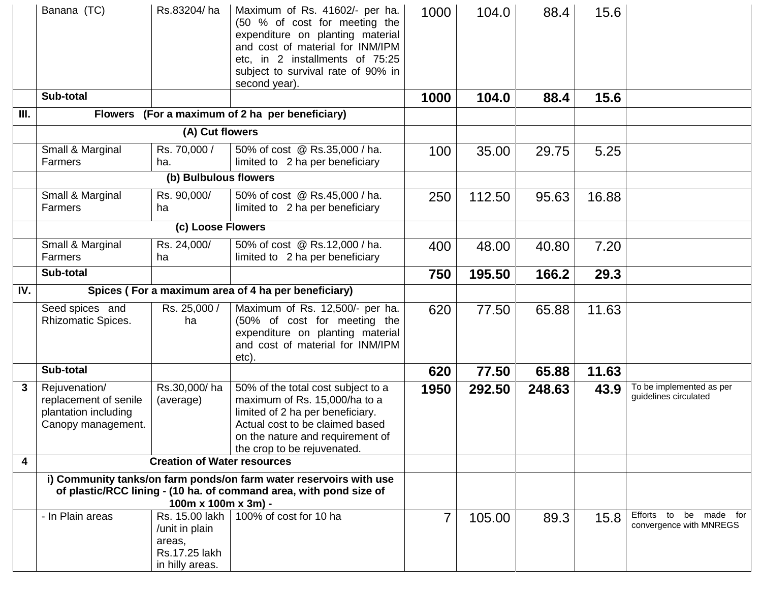|      | Banana (TC)<br>Sub-total                                                                                                                                        | Rs.83204/ha                                                  | Maximum of Rs. 41602/- per ha.<br>(50 % of cost for meeting the<br>expenditure on planting material<br>and cost of material for INM/IPM<br>etc, in 2 installments of 75:25<br>subject to survival rate of 90% in<br>second year). | 1000<br>1000   | 104.0<br>104.0 | 88.4<br>88.4 | 15.6<br>15.6 |                                                   |
|------|-----------------------------------------------------------------------------------------------------------------------------------------------------------------|--------------------------------------------------------------|-----------------------------------------------------------------------------------------------------------------------------------------------------------------------------------------------------------------------------------|----------------|----------------|--------------|--------------|---------------------------------------------------|
| III. |                                                                                                                                                                 |                                                              | Flowers (For a maximum of 2 ha per beneficiary)                                                                                                                                                                                   |                |                |              |              |                                                   |
|      |                                                                                                                                                                 | (A) Cut flowers                                              |                                                                                                                                                                                                                                   |                |                |              |              |                                                   |
|      |                                                                                                                                                                 |                                                              |                                                                                                                                                                                                                                   |                |                |              |              |                                                   |
|      | Small & Marginal<br>Farmers                                                                                                                                     | Rs. 70,000 /<br>ha.                                          | 50% of cost @ Rs.35,000 / ha.<br>limited to 2 ha per beneficiary                                                                                                                                                                  | 100            | 35.00          | 29.75        | 5.25         |                                                   |
|      |                                                                                                                                                                 | (b) Bulbulous flowers                                        |                                                                                                                                                                                                                                   |                |                |              |              |                                                   |
|      | Small & Marginal<br>Farmers                                                                                                                                     | Rs. 90,000/<br>ha                                            | 50% of cost @ Rs.45,000 / ha.<br>limited to 2 ha per beneficiary                                                                                                                                                                  | 250            | 112.50         | 95.63        | 16.88        |                                                   |
|      |                                                                                                                                                                 | (c) Loose Flowers                                            |                                                                                                                                                                                                                                   |                |                |              |              |                                                   |
|      | Small & Marginal<br>Farmers                                                                                                                                     | Rs. 24,000/<br>ha                                            | 50% of cost @ Rs.12,000 / ha.<br>limited to 2 ha per beneficiary                                                                                                                                                                  | 400            | 48.00          | 40.80        | 7.20         |                                                   |
|      | Sub-total                                                                                                                                                       |                                                              |                                                                                                                                                                                                                                   | 750            | 195.50         | 166.2        | 29.3         |                                                   |
| IV.  |                                                                                                                                                                 |                                                              | Spices (For a maximum area of 4 ha per beneficiary)                                                                                                                                                                               |                |                |              |              |                                                   |
|      | Seed spices and<br><b>Rhizomatic Spices.</b>                                                                                                                    | Rs. 25,000 /<br>ha                                           | Maximum of Rs. 12,500/- per ha.<br>(50% of cost for meeting the<br>expenditure on planting material<br>and cost of material for INM/IPM<br>etc).                                                                                  | 620            | 77.50          | 65.88        | 11.63        |                                                   |
|      | Sub-total                                                                                                                                                       |                                                              |                                                                                                                                                                                                                                   | 620            | 77.50          | 65.88        | 11.63        |                                                   |
| 3    | Rejuvenation/<br>replacement of senile<br>plantation including<br>Canopy management.                                                                            | Rs.30,000/ha<br>(average)                                    | 50% of the total cost subject to a<br>maximum of Rs. 15,000/ha to a<br>limited of 2 ha per beneficiary.<br>Actual cost to be claimed based<br>on the nature and requirement of<br>the crop to be rejuvenated.                     | 1950           | 292.50         | 248.63       | 43.9         | To be implemented as per<br>guidelines circulated |
| 4    | <b>Creation of Water resources</b>                                                                                                                              |                                                              |                                                                                                                                                                                                                                   |                |                |              |              |                                                   |
|      | i) Community tanks/on farm ponds/on farm water reservoirs with use<br>of plastic/RCC lining - (10 ha. of command area, with pond size of<br>100m x 100m x 3m) - |                                                              |                                                                                                                                                                                                                                   |                |                |              |              |                                                   |
|      | - In Plain areas                                                                                                                                                | /unit in plain<br>areas,<br>Rs.17.25 lakh<br>in hilly areas. | Rs. 15.00 lakh   100% of cost for 10 ha                                                                                                                                                                                           | $\overline{7}$ | 105.00         | 89.3         | 15.8         | Efforts to be made for<br>convergence with MNREGS |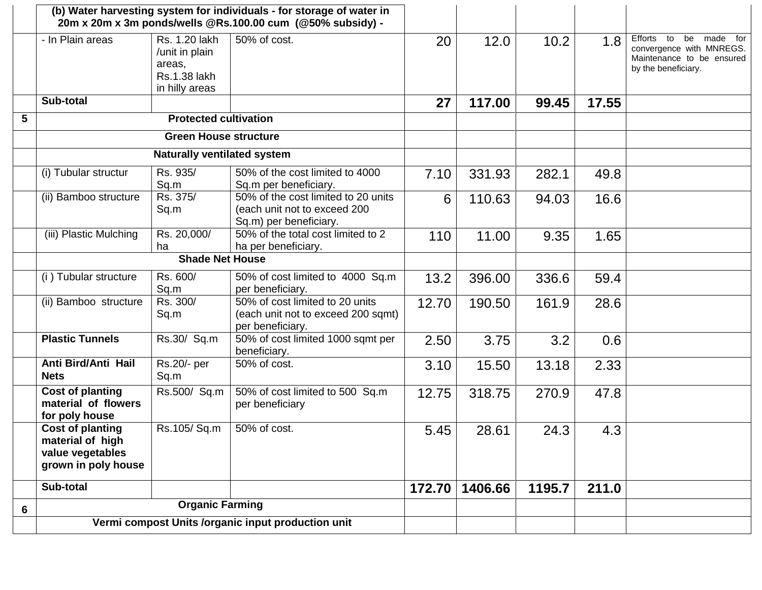|   |                                                                                        |                                                                                    | (b) Water harvesting system for individuals - for storage of water in<br>20m x 20m x 3m ponds/wells @Rs.100.00 cum (@50% subsidy) - |        |         |        |       |                                                                                                           |
|---|----------------------------------------------------------------------------------------|------------------------------------------------------------------------------------|-------------------------------------------------------------------------------------------------------------------------------------|--------|---------|--------|-------|-----------------------------------------------------------------------------------------------------------|
|   | - In Plain areas                                                                       | Rs. 1.20 lakh<br>/unit in plain<br>areas,<br><b>Rs.1.38 lakh</b><br>in hilly areas | 50% of cost.                                                                                                                        | 20     | 12.0    | 10.2   | 1.8   | Efforts to<br>be made for<br>convergence with MNREGS.<br>Maintenance to be ensured<br>by the beneficiary. |
|   | Sub-total                                                                              |                                                                                    |                                                                                                                                     | 27     | 117.00  | 99.45  | 17.55 |                                                                                                           |
| 5 |                                                                                        | <b>Protected cultivation</b>                                                       |                                                                                                                                     |        |         |        |       |                                                                                                           |
|   |                                                                                        | <b>Green House structure</b>                                                       |                                                                                                                                     |        |         |        |       |                                                                                                           |
|   |                                                                                        | <b>Naturally ventilated system</b>                                                 |                                                                                                                                     |        |         |        |       |                                                                                                           |
|   | (i) Tubular structur                                                                   | Rs. 935/<br>Sq.m                                                                   | 50% of the cost limited to 4000<br>Sq.m per beneficiary.                                                                            | 7.10   | 331.93  | 282.1  | 49.8  |                                                                                                           |
|   | (ii) Bamboo structure                                                                  | Rs. 375/<br>Sq.m                                                                   | 50% of the cost limited to 20 units<br>(each unit not to exceed 200<br>Sq.m) per beneficiary.                                       | 6      | 110.63  | 94.03  | 16.6  |                                                                                                           |
|   | (iii) Plastic Mulching                                                                 | Rs. 20,000/<br>ha                                                                  | 50% of the total cost limited to 2<br>ha per beneficiary.                                                                           | 110    | 11.00   | 9.35   | 1.65  |                                                                                                           |
|   | <b>Shade Net House</b>                                                                 |                                                                                    |                                                                                                                                     |        |         |        |       |                                                                                                           |
|   | (i) Tubular structure                                                                  | Rs. 600/<br>Sq.m                                                                   | 50% of cost limited to 4000 Sq.m<br>per beneficiary.                                                                                | 13.2   | 396.00  | 336.6  | 59.4  |                                                                                                           |
|   | (ii) Bamboo structure                                                                  | Rs. 300/<br>Sq.m                                                                   | 50% of cost limited to 20 units<br>(each unit not to exceed 200 sqmt)<br>per beneficiary.                                           | 12.70  | 190.50  | 161.9  | 28.6  |                                                                                                           |
|   | <b>Plastic Tunnels</b>                                                                 | Rs.30/ Sq.m                                                                        | 50% of cost limited 1000 sqmt per<br>beneficiary.                                                                                   | 2.50   | 3.75    | 3.2    | 0.6   |                                                                                                           |
|   | Anti Bird/Anti Hail<br><b>Nets</b>                                                     | $\overline{\text{Rs}}$ .20/- per<br>Sq.m                                           | 50% of cost.                                                                                                                        | 3.10   | 15.50   | 13.18  | 2.33  |                                                                                                           |
|   | <b>Cost of planting</b><br>material of flowers<br>for poly house                       | Rs.500/ Sq.m                                                                       | 50% of cost limited to 500 Sq.m<br>per beneficiary                                                                                  | 12.75  | 318.75  | 270.9  | 47.8  |                                                                                                           |
|   | <b>Cost of planting</b><br>material of high<br>value vegetables<br>grown in poly house | Rs.105/Sq.m                                                                        | 50% of cost.                                                                                                                        | 5.45   | 28.61   | 24.3   | 4.3   |                                                                                                           |
|   | Sub-total                                                                              |                                                                                    |                                                                                                                                     | 172.70 | 1406.66 | 1195.7 | 211.0 |                                                                                                           |
| 6 |                                                                                        | <b>Organic Farming</b>                                                             |                                                                                                                                     |        |         |        |       |                                                                                                           |
|   | Vermi compost Units /organic input production unit                                     |                                                                                    |                                                                                                                                     |        |         |        |       |                                                                                                           |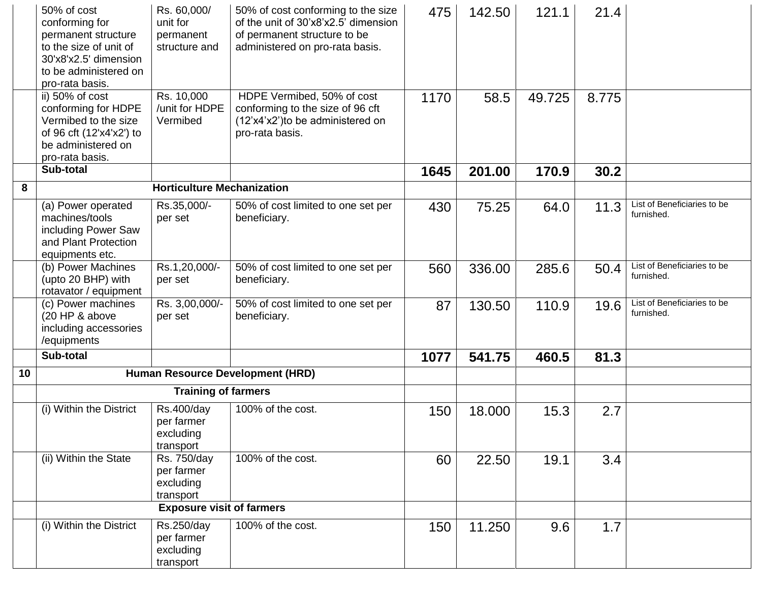|    | 50% of cost<br>conforming for<br>permanent structure<br>to the size of unit of<br>30'x8'x2.5' dimension<br>to be administered on | Rs. 60,000/<br>unit for<br>permanent<br>structure and | 50% of cost conforming to the size<br>of the unit of 30'x8'x2.5' dimension<br>of permanent structure to be<br>administered on pro-rata basis. | 475  | 142.50 | 121.1  | 21.4  |                                           |
|----|----------------------------------------------------------------------------------------------------------------------------------|-------------------------------------------------------|-----------------------------------------------------------------------------------------------------------------------------------------------|------|--------|--------|-------|-------------------------------------------|
|    | pro-rata basis.                                                                                                                  |                                                       |                                                                                                                                               |      |        |        |       |                                           |
|    | ii) 50% of cost<br>conforming for HDPE<br>Vermibed to the size                                                                   | Rs. 10,000<br>/unit for HDPE<br>Vermibed              | HDPE Vermibed, 50% of cost<br>conforming to the size of 96 cft<br>(12'x4'x2')to be administered on                                            | 1170 | 58.5   | 49.725 | 8.775 |                                           |
|    | of 96 cft (12'x4'x2') to<br>be administered on<br>pro-rata basis.                                                                |                                                       | pro-rata basis.                                                                                                                               |      |        |        |       |                                           |
|    | Sub-total                                                                                                                        |                                                       |                                                                                                                                               | 1645 | 201.00 | 170.9  | 30.2  |                                           |
| 8  |                                                                                                                                  | <b>Horticulture Mechanization</b>                     |                                                                                                                                               |      |        |        |       |                                           |
|    | (a) Power operated<br>machines/tools<br>including Power Saw<br>and Plant Protection<br>equipments etc.                           | Rs.35,000/-<br>per set                                | 50% of cost limited to one set per<br>beneficiary.                                                                                            | 430  | 75.25  | 64.0   | 11.3  | List of Beneficiaries to be<br>furnished. |
|    | (b) Power Machines<br>(upto 20 BHP) with<br>rotavator / equipment                                                                | Rs.1,20,000/-<br>per set                              | 50% of cost limited to one set per<br>beneficiary.                                                                                            | 560  | 336.00 | 285.6  | 50.4  | List of Beneficiaries to be<br>furnished. |
|    | (c) Power machines<br>(20 HP & above<br>including accessories<br>/equipments                                                     | Rs. 3,00,000/-<br>per set                             | 50% of cost limited to one set per<br>beneficiary.                                                                                            | 87   | 130.50 | 110.9  | 19.6  | List of Beneficiaries to be<br>furnished. |
|    | Sub-total                                                                                                                        |                                                       |                                                                                                                                               | 1077 | 541.75 | 460.5  | 81.3  |                                           |
| 10 |                                                                                                                                  |                                                       | Human Resource Development (HRD)                                                                                                              |      |        |        |       |                                           |
|    |                                                                                                                                  | <b>Training of farmers</b>                            |                                                                                                                                               |      |        |        |       |                                           |
|    | (i) Within the District                                                                                                          | Rs.400/day<br>per farmer<br>excluding<br>transport    | 100% of the cost.                                                                                                                             | 150  | 18.000 | 15.3   | 2.7   |                                           |
|    | (ii) Within the State                                                                                                            | Rs. 750/day<br>per farmer<br>excluding<br>transport   | 100% of the cost.                                                                                                                             | 60   | 22.50  | 19.1   | 3.4   |                                           |
|    |                                                                                                                                  | <b>Exposure visit of farmers</b>                      |                                                                                                                                               |      |        |        |       |                                           |
|    | (i) Within the District                                                                                                          | Rs.250/day<br>per farmer<br>excluding<br>transport    | 100% of the cost.                                                                                                                             | 150  | 11.250 | 9.6    | 1.7   |                                           |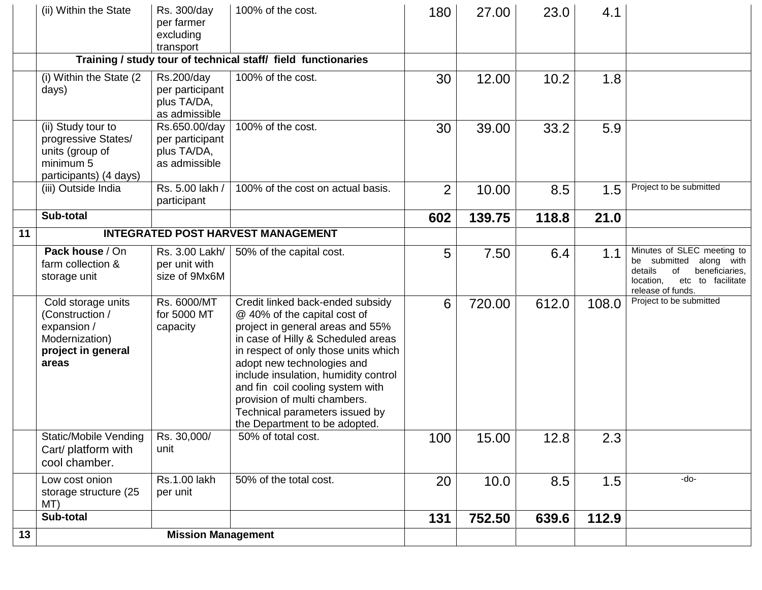|    | (ii) Within the State                                                                                 | Rs. 300/day<br>per farmer<br>excluding<br>transport              | 100% of the cost.                                                                                                                                                                                                                                                                                                                                                                               | 180            | 27.00  | 23.0  | 4.1   |                                                                                                                                                    |
|----|-------------------------------------------------------------------------------------------------------|------------------------------------------------------------------|-------------------------------------------------------------------------------------------------------------------------------------------------------------------------------------------------------------------------------------------------------------------------------------------------------------------------------------------------------------------------------------------------|----------------|--------|-------|-------|----------------------------------------------------------------------------------------------------------------------------------------------------|
|    |                                                                                                       |                                                                  | Training / study tour of technical staff/ field functionaries                                                                                                                                                                                                                                                                                                                                   |                |        |       |       |                                                                                                                                                    |
|    | (i) Within the State (2)<br>days)                                                                     | Rs.200/day<br>per participant<br>plus TA/DA,<br>as admissible    | 100% of the cost.                                                                                                                                                                                                                                                                                                                                                                               | 30             | 12.00  | 10.2  | 1.8   |                                                                                                                                                    |
|    | (ii) Study tour to<br>progressive States/<br>units (group of<br>minimum 5<br>participants) (4 days)   | Rs.650.00/day<br>per participant<br>plus TA/DA,<br>as admissible | 100% of the cost.                                                                                                                                                                                                                                                                                                                                                                               | 30             | 39.00  | 33.2  | 5.9   |                                                                                                                                                    |
|    | (iii) Outside India                                                                                   | Rs. 5.00 lakh /<br>participant                                   | 100% of the cost on actual basis.                                                                                                                                                                                                                                                                                                                                                               | $\overline{2}$ | 10.00  | 8.5   | 1.5   | Project to be submitted                                                                                                                            |
|    | Sub-total                                                                                             |                                                                  |                                                                                                                                                                                                                                                                                                                                                                                                 | 602            | 139.75 | 118.8 | 21.0  |                                                                                                                                                    |
| 11 |                                                                                                       |                                                                  | <b>INTEGRATED POST HARVEST MANAGEMENT</b>                                                                                                                                                                                                                                                                                                                                                       |                |        |       |       |                                                                                                                                                    |
|    | Pack house / On<br>farm collection &<br>storage unit                                                  | Rs. 3.00 Lakh/<br>per unit with<br>size of 9Mx6M                 | 50% of the capital cost.                                                                                                                                                                                                                                                                                                                                                                        | 5              | 7.50   | 6.4   | 1.1   | Minutes of SLEC meeting to<br>be submitted<br>along with<br>0f<br>beneficiaries,<br>details<br>location,<br>etc to facilitate<br>release of funds. |
|    | Cold storage units<br>(Construction /<br>expansion /<br>Modernization)<br>project in general<br>areas | Rs. 6000/MT<br>for 5000 MT<br>capacity                           | Credit linked back-ended subsidy<br>@ 40% of the capital cost of<br>project in general areas and 55%<br>in case of Hilly & Scheduled areas<br>in respect of only those units which<br>adopt new technologies and<br>include insulation, humidity control<br>and fin coil cooling system with<br>provision of multi chambers.<br>Technical parameters issued by<br>the Department to be adopted. | 6              | 720.00 | 612.0 | 108.0 | Project to be submitted                                                                                                                            |
|    | <b>Static/Mobile Vending</b><br>Cart/ platform with<br>cool chamber.                                  | Rs. 30,000/<br>unit                                              | 50% of total cost.                                                                                                                                                                                                                                                                                                                                                                              | 100            | 15.00  | 12.8  | 2.3   |                                                                                                                                                    |
|    | Low cost onion<br>storage structure (25<br>MT)                                                        | <b>Rs.1.00 lakh</b><br>per unit                                  | 50% of the total cost.                                                                                                                                                                                                                                                                                                                                                                          | 20             | 10.0   | 8.5   | 1.5   | -do-                                                                                                                                               |
|    | Sub-total                                                                                             |                                                                  |                                                                                                                                                                                                                                                                                                                                                                                                 | 131            | 752.50 | 639.6 | 112.9 |                                                                                                                                                    |
| 13 |                                                                                                       | <b>Mission Management</b>                                        |                                                                                                                                                                                                                                                                                                                                                                                                 |                |        |       |       |                                                                                                                                                    |